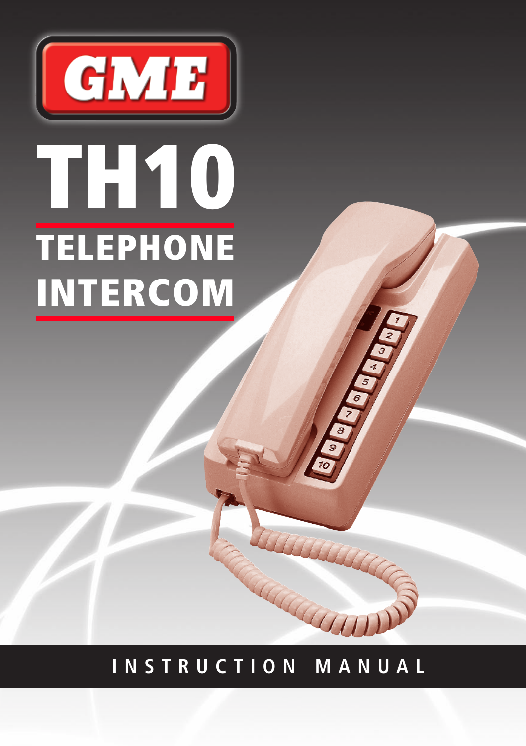

# **I N S T R U C T I O N M A N U A L**

THE COLORADO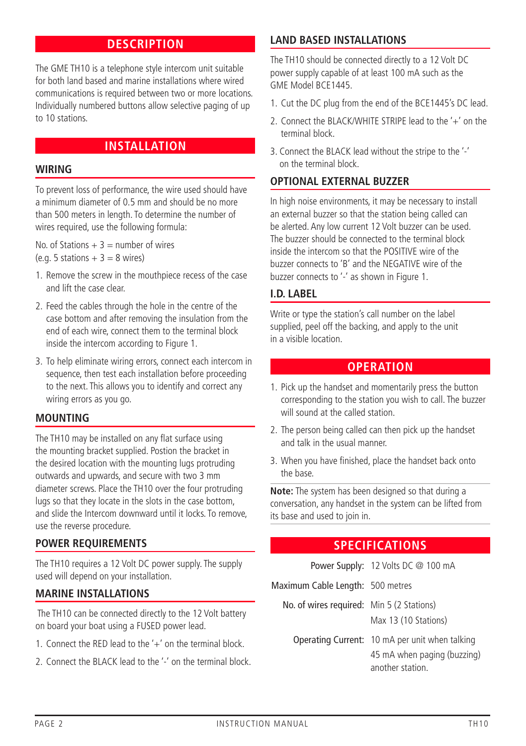# **DESCRIPTION**

The GME TH10 is a telephone style intercom unit suitable for both land based and marine installations where wired communications is required between two or more locations. Individually numbered buttons allow selective paging of up to 10 stations.

# **INSTALLATION**

#### **Wiring**

To prevent loss of performance, the wire used should have a minimum diameter of 0.5 mm and should be no more than 500 meters in length. To determine the number of wires required, use the following formula:

No. of Stations  $+ 3 =$  number of wires (e.g. 5 stations  $+3 = 8$  wires)

- 1. Remove the screw in the mouthpiece recess of the case and lift the case clear.
- 2. Feed the cables through the hole in the centre of the case bottom and after removing the insulation from the end of each wire, connect them to the terminal block inside the intercom according to Figure 1.
- 3. To help eliminate wiring errors, connect each intercom in sequence, then test each installation before proceeding to the next. This allows you to identify and correct any wiring errors as you go.

# **Mounting**

The TH10 may be installed on any flat surface using the mounting bracket supplied. Postion the bracket in the desired location with the mounting lugs protruding outwards and upwards, and secure with two 3 mm diameter screws. Place the TH10 over the four protruding lugs so that they locate in the slots in the case bottom, and slide the Intercom downward until it locks. To remove, use the reverse procedure.

#### **Power Requirements**

The TH10 requires a 12 Volt DC power supply. The supply used will depend on your installation.

# **Marine Installations**

 The TH10 can be connected directly to the 12 Volt battery on board your boat using a FUSED power lead.

- 1. Connect the RED lead to the '+' on the terminal block.
- 2. Connect the BLACK lead to the '-' on the terminal block.

## **Land Based Installations**

The TH10 should be connected directly to a 12 Volt DC power supply capable of at least 100 mA such as the GME Model BCE1445.

- 1. Cut the DC plug from the end of the BCE1445's DC lead.
- 2. Connect the BLACK/WHITE STRIPE lead to the  $'+'$  on the terminal block.
- 3. Connect the BLACK lead without the stripe to the '-' on the terminal block.

#### **Optional External Buzzer**

In high noise environments, it may be necessary to install an external buzzer so that the station being called can be alerted. Any low current 12 Volt buzzer can be used. The buzzer should be connected to the terminal block inside the intercom so that the POSITIVE wire of the buzzer connects to 'B' and the NEGATIVE wire of the buzzer connects to '-' as shown in Figure 1.

#### **I.D. Label**

Write or type the station's call number on the label supplied, peel off the backing, and apply to the unit in a visible location.

## **Operation**

- 1. Pick up the handset and momentarily press the button corresponding to the station you wish to call. The buzzer will sound at the called station.
- 2. The person being called can then pick up the handset and talk in the usual manner.
- 3. When you have finished, place the handset back onto the base.

**Note:** The system has been designed so that during a conversation, any handset in the system can be lifted from its base and used to join in.

# **Specifications**

|                                           | Power Supply: 12 Volts DC $@$ 100 mA                                                              |
|-------------------------------------------|---------------------------------------------------------------------------------------------------|
| Maximum Cable Length: 500 metres          |                                                                                                   |
| No. of wires required: Min 5 (2 Stations) | Max 13 (10 Stations)                                                                              |
|                                           | Operating Current: 10 mA per unit when talking<br>45 mA when paging (buzzing)<br>another station. |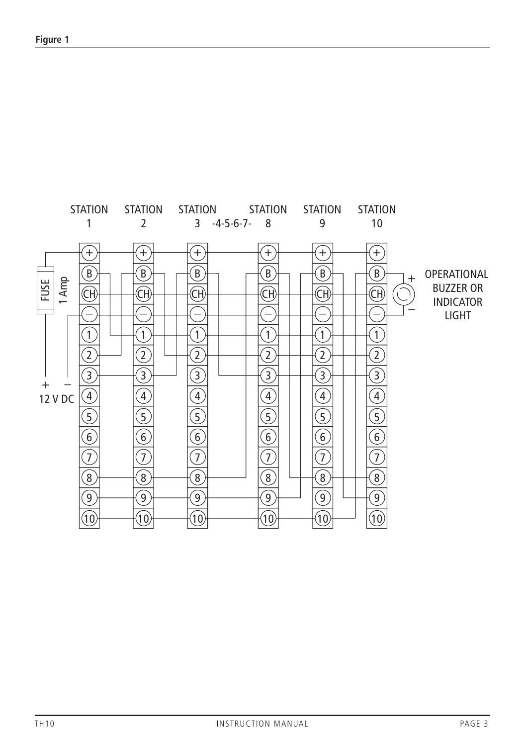